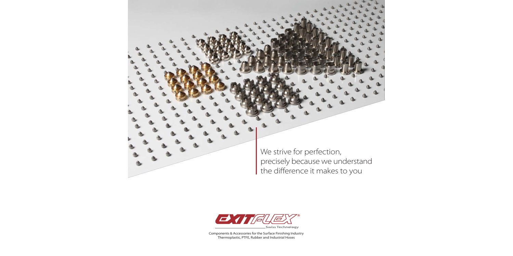



Components & Accessories for the Surface Finishing Industry Thermoplastic, PTFE, Rubber and Industrial Hoses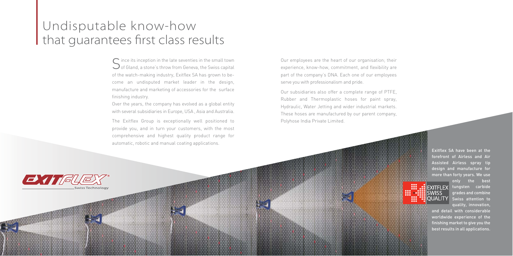# Undisputable know-how that guarantees first class results

 $S$  ince its inception in the late seventies in the small town<br>Out Gland, a stone's throw from Geneva, the Swiss capital of the watch-making industry, Exitflex SA has grown to become an undisputed market leader in the design, manufacture and marketing of accessories for the surface finishing industry.

Over the years, the company has evolved as a global entity with several subsidiaries in Europe, USA , Asia and Australia.

The Exitflex Group is exceptionally well positioned to provide you, and in turn your customers, with the most comprehensive and highest quality product range for automatic, robotic and manual coating applications.

Our employees are the heart of our organisation; their experience, know-how, commitment, and flexibility are part of the company's DNA. Each one of our employees serve you with professionalism and pride.

Our subsidiaries also offer a complete range of PTFE, Rubber and Thermoplastic hoses for paint spray, Hydraulic, Water Jetting and wider industrial markets. These hoses are manufactured by our parent company, Polyhose India Private Limited.



Exitflex SA have been at the forefront of Airless and Air Assisted Airless spray tip design and manufacture for more than forty years. We use



88

only the best **SEXITFLEX** tungsten carbide grades and combine QUALITY Swiss attention to quality, innovation,

> and detail with considerable worldwide experience of the finishing market to give you the best results in all applications.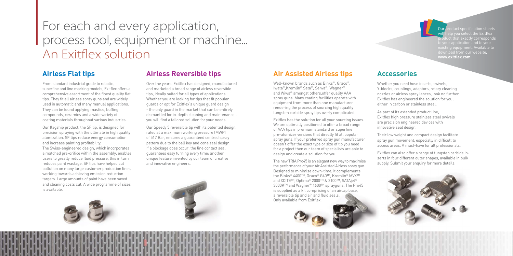# For each and every application, process tool, equipment or machine... An Exitflex solution

# **Airless Flat tips**

From standard industrial grade to robotic, superfine and line marking models, Exitflex offers a comprehensive assortment of the finest quality flat tips. They fit all airless spray guns and are widely used in automatic and many manual applications. They can be found applying mastics, buffing compounds, ceramics and a wide variety of coating materials throughout various industries.

Our flagship product, the SF tip, is designed for precision spraying with the ultimate in high quality atomization. SF tips reduce energy consumption and increase painting profitability. The Swiss-engineered design, which incorporates a matched pre-orifice within the assembly, enables users to greatly reduce fluid pressure, this in turn reduces paint wastage. SF tips have helped cut pollution on many large customer production lines, working towards achieving emission reduction targets. Large amounts of paint have been saved and cleaning costs cut. A wide programme of sizes is available.

# **Airless Reversible tips**

Over the years, Exitflex has designed, manufactured and marketed a broad range of airless reversible tips, ideally suited for all types of applications. Whether you are looking for tips that fit popular guards or opt for Exitflex's unique guard design - the only guard in the market that can be entirely dismantled for in-depth cleaning and maintenance you will find a tailored solution for your needs.

Our product specification sheets In you select the Exitflex duct that exactly corresponds to your application and to your **www.exitflex.com**

Our Speedy 5 reversible tip with its patented design, rated at a maximum working pressure (MWP) of 517 Bar, ensures a guaranteed centred spray pattern due to the ball key and cone seal design. If a blockage does occur, the line contact seal guarantees easy turning every time; another unique feature invented by our team of creative and innovative engineers.



# **Accessories**

Whether you need hose inserts, swivels, Y-blocks, couplings, adaptors, rotary cleaning nozzles or airless spray lances, look no further. Exitflex has engineered the solution for you, either in carbon or stainless steel.



As part of its extended product line, Exitflex high pressure stainless steel swivels are precision engineered devices with innovative seal design.

Their low weight and compact design facilitate spray gun movement, especially in difficult to access areas. A must-have for all professionals.

Exitflex can also offer a range of tungsten carbide inserts in four different outer shapes, available in bulk supply. Submit your enquiry for more details.

# **Air Assisted Airless tips**

Well-known brands such as Binks®, Graco®, Iwata®,Kremlin® Sata®, Seiwa®, Wagner® and Wiwa® amongst others,offer quality AAA spray guns. Many coating facilities operate with equipment from more than one manufacturer rendering the process of sourcing high quality tungsten carbide spray tips overly complicated.

Exitflex has the solution for all your sourcing issues. We are optimally positioned to offer a broad range of AAA tips in premium standard or superfine pre-atomizer versions that directly fit all popular spray guns. If your preferred spray gun manufacturer doesn't offer the exact type or size of tip you need for a project then our team of specialists are able to design and create a solution for you.

The new TRIA Pro45 is an elegant new way to maximise the performance of your Air Assisted Airless spray gun. Designed to minimise down-time, it complements the Binks® 4400™, Graco® G40™, Kremlin® MVX™ and XCITE™, Optima® 2000™ & 2100™, SATAjet® 3000K™ and Wagner® 4600™ sprayguns. The Pro45 is supplied as a kit comprising of an aircap base, a reversible tip and air and fluid seals. Only available from Exitflex.

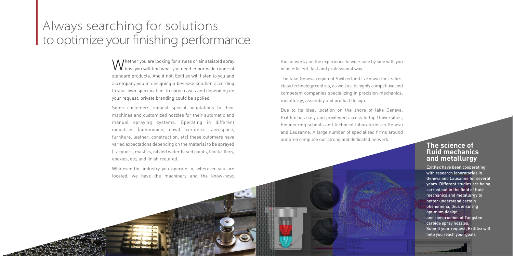# Always searching for solutions to optimize your finishing performance

## **The science of fluid mechanics and metallurgy**

Exitflex have been cooperating with research laboratories in Geneva and Lausanne for several years. Different studies are being carried out in the field of fluid mechanics and metallurgy to better understand certain phenomena, thus ensuring optimum design and construction of Tungsten carbide spray nozzles. Submit your request, Exitflex will help you reach your goals

Whether you are looking for airless or air assisted spray tips, you will find what you need in our wide range of standard products. And if not, Exitflex will listen to you and accompany you in designing a bespoke solution according to your own specification. In some cases and depending on your request, private branding could be applied.

Some customers request special adaptations to their machines and customized nozzles for their automatic and manual spraying systems. Operating in different industries (automobile, naval, ceramics, aerospace, furniture, leather, construction, etc) these cutomers have varied expectations depending on the material to be sprayed (Lacquers, mastics, oil and water based paints, block fillers, epoxies, etc) and finish required.

Whatever the industry you operate in, wherever you are located, we have the machinery and the know-how; the network and the experience to work side by side with you in an efficient, fast and professional way.

The lake Geneva region of Switzerland is known for its first class technology centres, as well as its highly competitive and competent companies specializing in precision mechanics, metallurgy, assembly and product design.

Due to its ideal location on the shore of lake Geneva, Exitflex has easy and privileged access to top Universities, Engineering schools and technical laboratories in Geneva and Lausanne. A large number of specialized firms around our area complete our strong and dedicated network.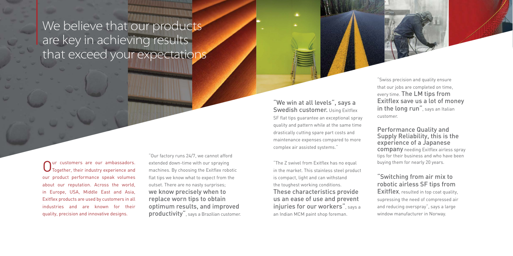# "Switching from air mix to robotic airless SF tips from

Exitflex, resulted in top coat quality, supressing the need of compressed air and reducing overspray", says a large window manufacturer in Norway.

"Our factory runs 24/7, we cannot afford extended down-time with our spraying machines. By choosing the Exitflex robotic flat tips we know what to expect from the outset. There are no nasty surprises; we know precisely when to replace worn tips to obtain optimum results, and improved productivity", says a Brazilian customer.

"We win at all levels", says a **Swedish customer. Using Exitflex** 

"The Z swivel from Exitflex has no equal in the market. This stainless steel product is compact, light and can withstand the toughest working conditions. These characteristics provide us an ease of use and prevent injuries for our workers", says a an Indian MCM paint shop foreman.



Our customers are our ambassadors.<br>
Orgether, their industry experience and our product performance speak volumes about our reputation. Across the world, in Europe, USA, Middle East and Asia, Exitflex products are used by customers in all industries and are known for their quality, precision and innovative designs.

## Performance Quality and Supply Reliability, this is the experience of a Japanese

# We believe that our products are key in achieving results that exceed your expectations

company needing Exitflex airless spray tips for their business and who have been buying them for nearly 20 years.

SF flat tips guarantee an exceptional spray quality and pattern while at the same time drastically cutting spare part costs and maintenance expenses compared to more complex air assisted systems."

"Swiss precision and quality ensure that our jobs are completed on time, every time. The LM tips from Exitflex save us a lot of money in the long run", says an Italian customer.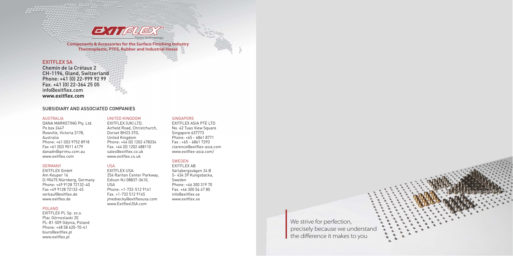#### AUSTRALIA

DANA MARKETING Pty. Ltd. Po box 2447 Rowville, Victoria 3178, Australia Phone: +61 (0)3 9752 8918 Fax +61 (0)3 9011 6179 danadn@iprimu.com.au www.exitflex.com

#### GERMANY

EXITFLEX GmbH Am Keuper 16 D-90475 Nürnberg, Germany Phone: +49 9128 72132-40 Fax +49 9128 72132-45 verkauf@exitflex.de www.exitflex.de

### POLAND

EXITFLEX PL Sp. zo.o. Plac Górnoslaski 20 PL-81-509 Gdynia, Poland Phone: +48 58 620-70-41 biuro@exitflex.pl www.exitflex.pl

#### UNITED KINGDOM EXITFLEX (UK) LTD.

Airfield Road, Christchurch, Dorset BH23 3TG, United Kingdom Phone: +44 (0) 1202 478334 Fax. +44 (0) 1202 488110 sales@exitflex.co.uk www.exitflex.co.uk

### USA

EXITFLEX USA. 254 Raritan Center Parkway, Edison NJ 08837-3610, USA Phone: +1-732-512 9141 Fax. +1-732 512 9145 jmedvecky@exitflexusa.com www.ExitflexUSA.com

### **SINGAPORE**

We strive for perfection, precisely because we understand the difference it makes to you



EXITFLEX ASIA PTE LTD No. 42 Tuas View Square Singapore 637773 Phone: +65 - 6861 8771 Fax : +65 - 6861 7293 clarence@exitflex-asia.com www.exitflex-asia.com/

### SWEDEN

EXITFLEX AB Varlabergsvägen 24 B S- 434 39 Kungsbacka, Sweden Phone: +46 300 319 70 Fax. +46 300 56 47 80 info@exitflex.se www.exitflex.se

### EXITFLEX SA

Chemin de la Crétaux 2 CH-1196, Gland, Switzerland Phone: +41 (0) 22-999 92 99 Fax. +41 (0) 22-364 25 05 info@exitflex.com **www.exitflex.com**

### SUBSIDIARY AND ASSOCIATED COMPANIES



**Components & Accessories for the Surface Finishing Industry Thermoplastic, PTFE, Rubber and Industrial Hoses**